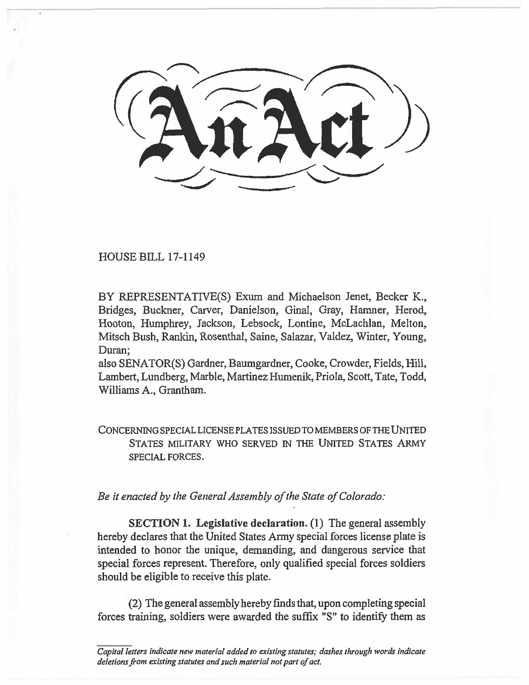HOUSE BILL 17-1149

BY REPRESENTATIVE(S) Exum and Michaelson Jenet, Becker K., Bridges, Buckner, Carver, Danielson, Ginal, Gray, Hamner, Herod, Hooton, Humphrey, Jackson, Lebsock, Lontine, McLachlan, Melton, Mitsch Bush, Rankin, Rosenthal, Saine, Salazar, Valdez, Winter, Young, Duran;

also SENATOR(S) Gardner, Baumgardner, Cooke, Crowder, Fields, Hill, Lambert, Lundberg, Marble, Martinez Humenik, Priola, Scott, Tate, Todd, Williams A., Grantham.

**CONCERNING SPECIAL LICENSE PLATES ISSUED TO MEMBERS OF THE UNITED STATES MILITARY WHO SERVED IN THE UNITED STATES ARMY SPECIAL FORCES.** 

*Be it enacted by the General Assembly of the State of Colorado:* 

**SECTION 1. Legislative declaration.** (1) The general assembly hereby declares that the United States Army special forces license plate is intended to honor the unique, demanding, and dangerous service that special forces represent. Therefore, only qualified special forces soldiers should be eligible to receive this plate.

(2) The general assembly hereby finds that, upon completing special forces training, soldiers were awarded the suffix "S" to identify them as

*Capital letters indicate new material added to existing statutes; dashes through words indicate deletions from existing statutes and such material not part of act.*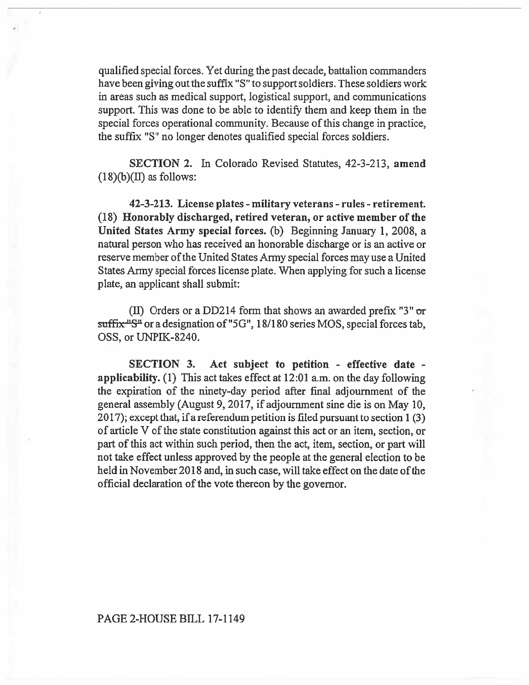qualified special forces. Yet during the past decade, battalion commanders have been giving out the suffix "S" to support soldiers. These soldiers work in areas such as medical support, logistical support, and communications support. This was done to be able to identify them and keep them in the special forces operational community. Because of this change in practice, the suffix "S" no longer denotes qualified special forces soldiers.

**SECTION 2.** In Colorado Revised Statutes, 42-3-213, **amend**   $(18)(b)(II)$  as follows:

**42-3-213. License plates - military veterans - rules - retirement. (18) Honorably discharged, retired veteran, or active member of the United States Army special forces.** (b) Beginning January 1, 2008, a natural person who has received an honorable discharge or is an active or reserve member of the United States Army special forces may use a United States Army special forces license plate. When applying for such a license plate, an applicant shall submit:

(II) Orders or a DD214 form that shows an awarded prefix "3"  $\sigma$ r  $\frac{\text{suffix "S"}}{\text{or a designation of "5G", 18/180 series MOS, special forces tab.}}$ OSS, or UNPIK-8240.

**SECTION 3. Act subject to petition - effective date applicability. (1) This** act takes effect at 12:01 a.m. on the day following the expiration of the ninety-day period after final adjournment of the general assembly (August 9, 2017, if adjournment sine die is on May 10, 2017); except that, if a referendum petition is filed pursuant to section 1 (3) of article V of the state constitution against this act or an item, section, or part of this act within such period, then the act, item, section, or part will not take effect unless approved by the people at the general election to be held in November 2018 and, in such case, will take effect on the date of the official declaration of the vote thereon by the governor.